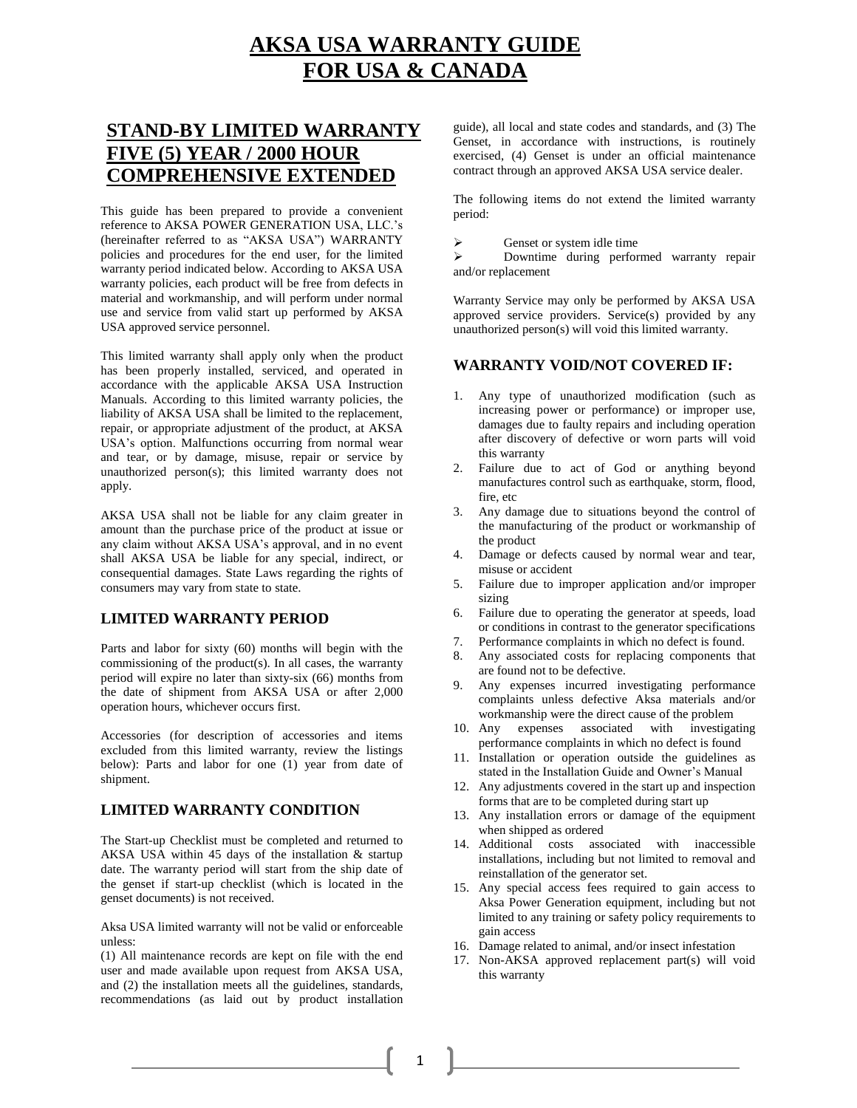# **AKSA USA WARRANTY GUIDE FOR USA & CANADA**

## **STAND-BY LIMITED WARRANTY FIVE (5) YEAR / 2000 HOUR COMPREHENSIVE EXTENDED**

This guide has been prepared to provide a convenient reference to AKSA POWER GENERATION USA, LLC.'s (hereinafter referred to as "AKSA USA") WARRANTY policies and procedures for the end user, for the limited warranty period indicated below. According to AKSA USA warranty policies, each product will be free from defects in material and workmanship, and will perform under normal use and service from valid start up performed by AKSA USA approved service personnel.

This limited warranty shall apply only when the product has been properly installed, serviced, and operated in accordance with the applicable AKSA USA Instruction Manuals. According to this limited warranty policies, the liability of AKSA USA shall be limited to the replacement, repair, or appropriate adjustment of the product, at AKSA USA's option. Malfunctions occurring from normal wear and tear, or by damage, misuse, repair or service by unauthorized person(s); this limited warranty does not apply.

AKSA USA shall not be liable for any claim greater in amount than the purchase price of the product at issue or any claim without AKSA USA's approval, and in no event shall AKSA USA be liable for any special, indirect, or consequential damages. State Laws regarding the rights of consumers may vary from state to state.

### **LIMITED WARRANTY PERIOD**

Parts and labor for sixty (60) months will begin with the commissioning of the product(s). In all cases, the warranty period will expire no later than sixty-six (66) months from the date of shipment from AKSA USA or after 2,000 operation hours, whichever occurs first.

Accessories (for description of accessories and items excluded from this limited warranty, review the listings below): Parts and labor for one (1) year from date of shipment.

### **LIMITED WARRANTY CONDITION**

The Start-up Checklist must be completed and returned to AKSA USA within 45 days of the installation & startup date. The warranty period will start from the ship date of the genset if start-up checklist (which is located in the genset documents) is not received.

Aksa USA limited warranty will not be valid or enforceable unless:

(1) All maintenance records are kept on file with the end user and made available upon request from AKSA USA, and (2) the installation meets all the guidelines, standards, recommendations (as laid out by product installation guide), all local and state codes and standards, and (3) The Genset, in accordance with instructions, is routinely exercised, (4) Genset is under an official maintenance contract through an approved AKSA USA service dealer.

The following items do not extend the limited warranty period:

 $\triangleright$  Genset or system idle time

 Downtime during performed warranty repair and/or replacement

Warranty Service may only be performed by AKSA USA approved service providers. Service(s) provided by any unauthorized person(s) will void this limited warranty.

### **WARRANTY VOID/NOT COVERED IF:**

- 1. Any type of unauthorized modification (such as increasing power or performance) or improper use, damages due to faulty repairs and including operation after discovery of defective or worn parts will void this warranty
- 2. Failure due to act of God or anything beyond manufactures control such as earthquake, storm, flood, fire, etc
- 3. Any damage due to situations beyond the control of the manufacturing of the product or workmanship of the product
- 4. Damage or defects caused by normal wear and tear, misuse or accident
- 5. Failure due to improper application and/or improper sizing
- 6. Failure due to operating the generator at speeds, load or conditions in contrast to the generator specifications
- Performance complaints in which no defect is found.
- 8. Any associated costs for replacing components that are found not to be defective.
- 9. Any expenses incurred investigating performance complaints unless defective Aksa materials and/or workmanship were the direct cause of the problem
- 10. Any expenses associated with investigating performance complaints in which no defect is found
- 11. Installation or operation outside the guidelines as stated in the Installation Guide and Owner's Manual
- 12. Any adjustments covered in the start up and inspection forms that are to be completed during start up
- 13. Any installation errors or damage of the equipment when shipped as ordered
- 14. Additional costs associated with inaccessible installations, including but not limited to removal and reinstallation of the generator set.
- 15. Any special access fees required to gain access to Aksa Power Generation equipment, including but not limited to any training or safety policy requirements to gain access
- 16. Damage related to animal, and/or insect infestation
- 17. Non-AKSA approved replacement part(s) will void this warranty